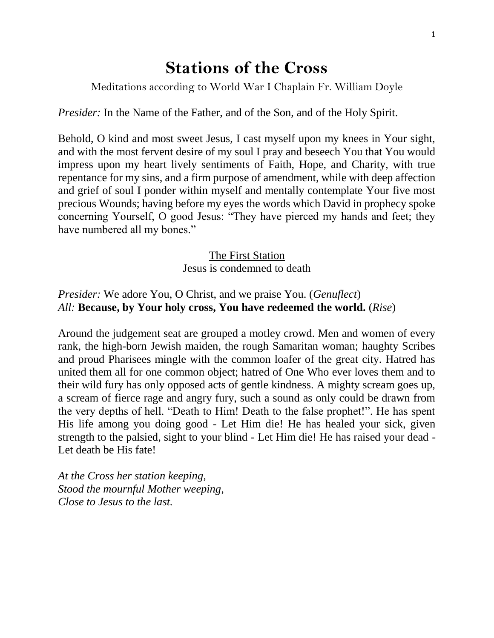# **Stations of the Cross**

Meditations according to World War I Chaplain Fr. William Doyle

*Presider:* In the Name of the Father, and of the Son, and of the Holy Spirit.

Behold, O kind and most sweet Jesus, I cast myself upon my knees in Your sight, and with the most fervent desire of my soul I pray and beseech You that You would impress upon my heart lively sentiments of Faith, Hope, and Charity, with true repentance for my sins, and a firm purpose of amendment, while with deep affection and grief of soul I ponder within myself and mentally contemplate Your five most precious Wounds; having before my eyes the words which David in prophecy spoke concerning Yourself, O good Jesus: "They have pierced my hands and feet; they have numbered all my bones."

#### The First Station Jesus is condemned to death

#### *Presider:* We adore You, O Christ, and we praise You. (*Genuflect*) *All:* **Because, by Your holy cross, You have redeemed the world.** (*Rise*)

Around the judgement seat are grouped a motley crowd. Men and women of every rank, the high-born Jewish maiden, the rough Samaritan woman; haughty Scribes and proud Pharisees mingle with the common loafer of the great city. Hatred has united them all for one common object; hatred of One Who ever loves them and to their wild fury has only opposed acts of gentle kindness. A mighty scream goes up, a scream of fierce rage and angry fury, such a sound as only could be drawn from the very depths of hell. "Death to Him! Death to the false prophet!". He has spent His life among you doing good - Let Him die! He has healed your sick, given strength to the palsied, sight to your blind - Let Him die! He has raised your dead - Let death be His fate!

*At the Cross her station keeping, Stood the mournful Mother weeping, Close to Jesus to the last.*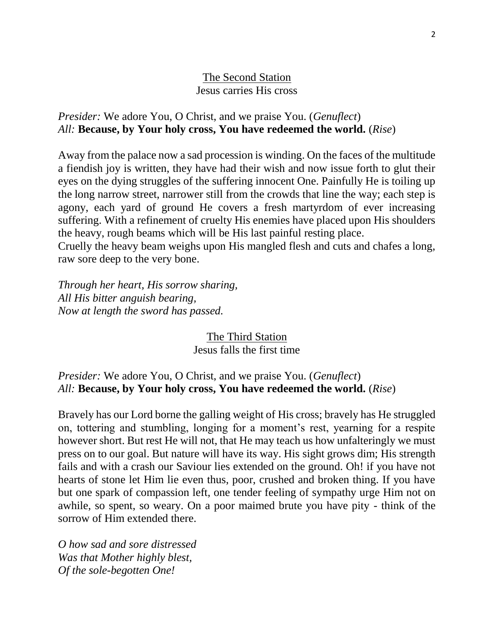# The Second Station Jesus carries His cross

#### *Presider:* We adore You, O Christ, and we praise You. (*Genuflect*) *All:* **Because, by Your holy cross, You have redeemed the world.** (*Rise*)

Away from the palace now a sad procession is winding. On the faces of the multitude a fiendish joy is written, they have had their wish and now issue forth to glut their eyes on the dying struggles of the suffering innocent One. Painfully He is toiling up the long narrow street, narrower still from the crowds that line the way; each step is agony, each yard of ground He covers a fresh martyrdom of ever increasing suffering. With a refinement of cruelty His enemies have placed upon His shoulders the heavy, rough beams which will be His last painful resting place.

Cruelly the heavy beam weighs upon His mangled flesh and cuts and chafes a long, raw sore deep to the very bone.

*Through her heart, His sorrow sharing, All His bitter anguish bearing, Now at length the sword has passed.*

> The Third Station Jesus falls the first time

## *Presider:* We adore You, O Christ, and we praise You. (*Genuflect*) *All:* **Because, by Your holy cross, You have redeemed the world.** (*Rise*)

Bravely has our Lord borne the galling weight of His cross; bravely has He struggled on, tottering and stumbling, longing for a moment's rest, yearning for a respite however short. But rest He will not, that He may teach us how unfalteringly we must press on to our goal. But nature will have its way. His sight grows dim; His strength fails and with a crash our Saviour lies extended on the ground. Oh! if you have not hearts of stone let Him lie even thus, poor, crushed and broken thing. If you have but one spark of compassion left, one tender feeling of sympathy urge Him not on awhile, so spent, so weary. On a poor maimed brute you have pity - think of the sorrow of Him extended there.

*O how sad and sore distressed Was that Mother highly blest, Of the sole-begotten One!*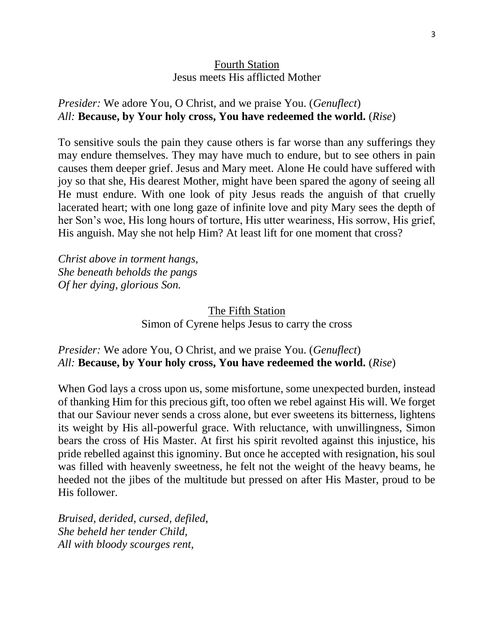#### Fourth Station Jesus meets His afflicted Mother

#### *Presider:* We adore You, O Christ, and we praise You. (*Genuflect*) *All:* **Because, by Your holy cross, You have redeemed the world.** (*Rise*)

To sensitive souls the pain they cause others is far worse than any sufferings they may endure themselves. They may have much to endure, but to see others in pain causes them deeper grief. Jesus and Mary meet. Alone He could have suffered with joy so that she, His dearest Mother, might have been spared the agony of seeing all He must endure. With one look of pity Jesus reads the anguish of that cruelly lacerated heart; with one long gaze of infinite love and pity Mary sees the depth of her Son's woe, His long hours of torture, His utter weariness, His sorrow, His grief, His anguish. May she not help Him? At least lift for one moment that cross?

*Christ above in torment hangs, She beneath beholds the pangs Of her dying, glorious Son.*

# The Fifth Station Simon of Cyrene helps Jesus to carry the cross

## *Presider:* We adore You, O Christ, and we praise You. (*Genuflect*) *All:* **Because, by Your holy cross, You have redeemed the world.** (*Rise*)

When God lays a cross upon us, some misfortune, some unexpected burden, instead of thanking Him for this precious gift, too often we rebel against His will. We forget that our Saviour never sends a cross alone, but ever sweetens its bitterness, lightens its weight by His all-powerful grace. With reluctance, with unwillingness, Simon bears the cross of His Master. At first his spirit revolted against this injustice, his pride rebelled against this ignominy. But once he accepted with resignation, his soul was filled with heavenly sweetness, he felt not the weight of the heavy beams, he heeded not the jibes of the multitude but pressed on after His Master, proud to be His follower.

*Bruised, derided, cursed, defiled, She beheld her tender Child, All with bloody scourges rent,*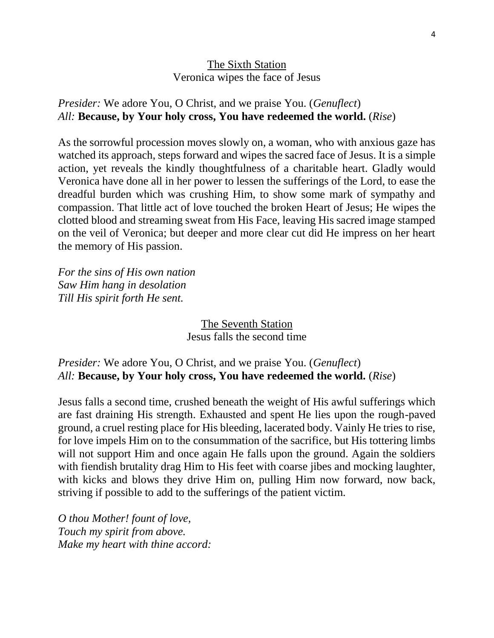#### The Sixth Station Veronica wipes the face of Jesus

# *Presider:* We adore You, O Christ, and we praise You. (*Genuflect*) *All:* **Because, by Your holy cross, You have redeemed the world.** (*Rise*)

As the sorrowful procession moves slowly on, a woman, who with anxious gaze has watched its approach, steps forward and wipes the sacred face of Jesus. It is a simple action, yet reveals the kindly thoughtfulness of a charitable heart. Gladly would Veronica have done all in her power to lessen the sufferings of the Lord, to ease the dreadful burden which was crushing Him, to show some mark of sympathy and compassion. That little act of love touched the broken Heart of Jesus; He wipes the clotted blood and streaming sweat from His Face, leaving His sacred image stamped on the veil of Veronica; but deeper and more clear cut did He impress on her heart the memory of His passion.

*For the sins of His own nation Saw Him hang in desolation Till His spirit forth He sent.*

> The Seventh Station Jesus falls the second time

*Presider:* We adore You, O Christ, and we praise You. (*Genuflect*) *All:* **Because, by Your holy cross, You have redeemed the world.** (*Rise*)

Jesus falls a second time, crushed beneath the weight of His awful sufferings which are fast draining His strength. Exhausted and spent He lies upon the rough-paved ground, a cruel resting place for His bleeding, lacerated body. Vainly He tries to rise, for love impels Him on to the consummation of the sacrifice, but His tottering limbs will not support Him and once again He falls upon the ground. Again the soldiers with fiendish brutality drag Him to His feet with coarse jibes and mocking laughter, with kicks and blows they drive Him on, pulling Him now forward, now back, striving if possible to add to the sufferings of the patient victim.

*O thou Mother! fount of love, Touch my spirit from above. Make my heart with thine accord:*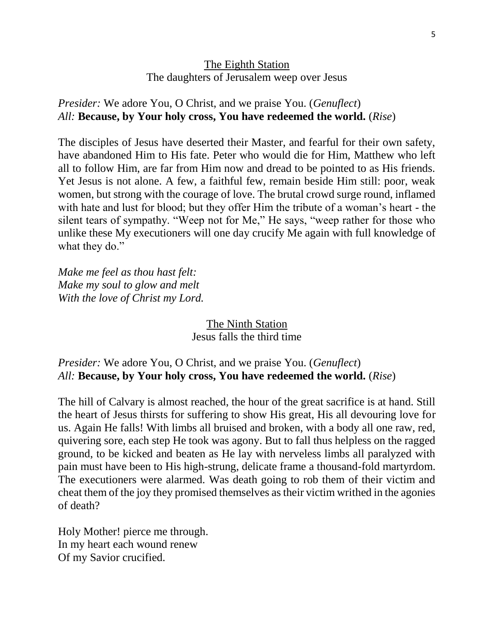# The Eighth Station The daughters of Jerusalem weep over Jesus

# *Presider:* We adore You, O Christ, and we praise You. (*Genuflect*) *All:* **Because, by Your holy cross, You have redeemed the world.** (*Rise*)

The disciples of Jesus have deserted their Master, and fearful for their own safety, have abandoned Him to His fate. Peter who would die for Him, Matthew who left all to follow Him, are far from Him now and dread to be pointed to as His friends. Yet Jesus is not alone. A few, a faithful few, remain beside Him still: poor, weak women, but strong with the courage of love. The brutal crowd surge round, inflamed with hate and lust for blood; but they offer Him the tribute of a woman's heart - the silent tears of sympathy. "Weep not for Me," He says, "weep rather for those who unlike these My executioners will one day crucify Me again with full knowledge of what they do."

*Make me feel as thou hast felt: Make my soul to glow and melt With the love of Christ my Lord.*

> The Ninth Station Jesus falls the third time

*Presider:* We adore You, O Christ, and we praise You. (*Genuflect*) *All:* **Because, by Your holy cross, You have redeemed the world.** (*Rise*)

The hill of Calvary is almost reached, the hour of the great sacrifice is at hand. Still the heart of Jesus thirsts for suffering to show His great, His all devouring love for us. Again He falls! With limbs all bruised and broken, with a body all one raw, red, quivering sore, each step He took was agony. But to fall thus helpless on the ragged ground, to be kicked and beaten as He lay with nerveless limbs all paralyzed with pain must have been to His high-strung, delicate frame a thousand-fold martyrdom. The executioners were alarmed. Was death going to rob them of their victim and cheat them of the joy they promised themselves as their victim writhed in the agonies of death?

Holy Mother! pierce me through. In my heart each wound renew Of my Savior crucified.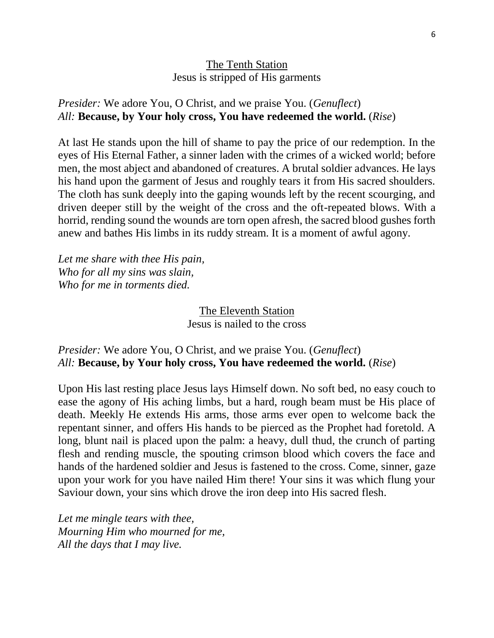#### The Tenth Station Jesus is stripped of His garments

# *Presider:* We adore You, O Christ, and we praise You. (*Genuflect*) *All:* **Because, by Your holy cross, You have redeemed the world.** (*Rise*)

At last He stands upon the hill of shame to pay the price of our redemption. In the eyes of His Eternal Father, a sinner laden with the crimes of a wicked world; before men, the most abject and abandoned of creatures. A brutal soldier advances. He lays his hand upon the garment of Jesus and roughly tears it from His sacred shoulders. The cloth has sunk deeply into the gaping wounds left by the recent scourging, and driven deeper still by the weight of the cross and the oft-repeated blows. With a horrid, rending sound the wounds are torn open afresh, the sacred blood gushes forth anew and bathes His limbs in its ruddy stream. It is a moment of awful agony.

*Let me share with thee His pain, Who for all my sins was slain, Who for me in torments died.*

> The Eleventh Station Jesus is nailed to the cross

## *Presider:* We adore You, O Christ, and we praise You. (*Genuflect*) *All:* **Because, by Your holy cross, You have redeemed the world.** (*Rise*)

Upon His last resting place Jesus lays Himself down. No soft bed, no easy couch to ease the agony of His aching limbs, but a hard, rough beam must be His place of death. Meekly He extends His arms, those arms ever open to welcome back the repentant sinner, and offers His hands to be pierced as the Prophet had foretold. A long, blunt nail is placed upon the palm: a heavy, dull thud, the crunch of parting flesh and rending muscle, the spouting crimson blood which covers the face and hands of the hardened soldier and Jesus is fastened to the cross. Come, sinner, gaze upon your work for you have nailed Him there! Your sins it was which flung your Saviour down, your sins which drove the iron deep into His sacred flesh.

*Let me mingle tears with thee, Mourning Him who mourned for me, All the days that I may live.*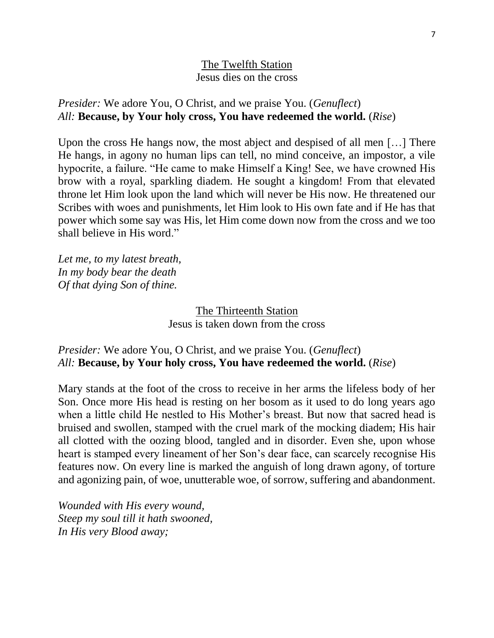## The Twelfth Station Jesus dies on the cross

# *Presider:* We adore You, O Christ, and we praise You. (*Genuflect*) *All:* **Because, by Your holy cross, You have redeemed the world.** (*Rise*)

Upon the cross He hangs now, the most abject and despised of all men […] There He hangs, in agony no human lips can tell, no mind conceive, an impostor, a vile hypocrite, a failure. "He came to make Himself a King! See, we have crowned His brow with a royal, sparkling diadem. He sought a kingdom! From that elevated throne let Him look upon the land which will never be His now. He threatened our Scribes with woes and punishments, let Him look to His own fate and if He has that power which some say was His, let Him come down now from the cross and we too shall believe in His word."

*Let me, to my latest breath, In my body bear the death Of that dying Son of thine.*

> The Thirteenth Station Jesus is taken down from the cross

## *Presider:* We adore You, O Christ, and we praise You. (*Genuflect*) *All:* **Because, by Your holy cross, You have redeemed the world.** (*Rise*)

Mary stands at the foot of the cross to receive in her arms the lifeless body of her Son. Once more His head is resting on her bosom as it used to do long years ago when a little child He nestled to His Mother's breast. But now that sacred head is bruised and swollen, stamped with the cruel mark of the mocking diadem; His hair all clotted with the oozing blood, tangled and in disorder. Even she, upon whose heart is stamped every lineament of her Son's dear face, can scarcely recognise His features now. On every line is marked the anguish of long drawn agony, of torture and agonizing pain, of woe, unutterable woe, of sorrow, suffering and abandonment.

*Wounded with His every wound, Steep my soul till it hath swooned, In His very Blood away;*